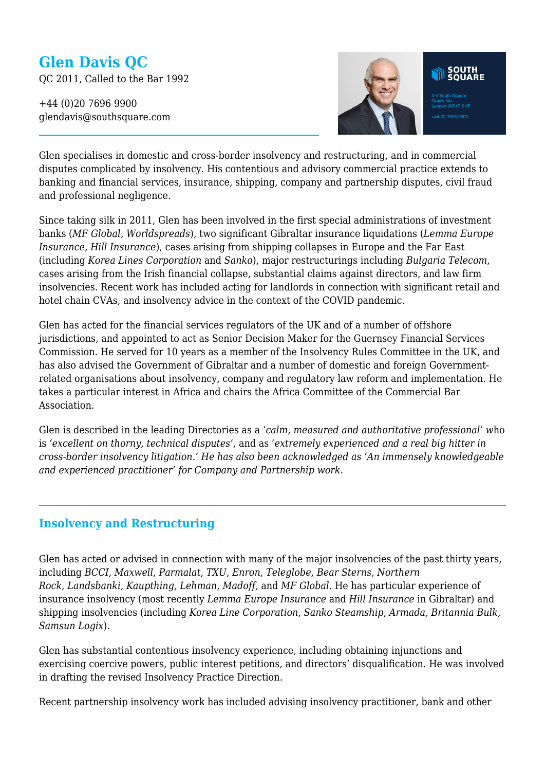# **Glen Davis QC**

QC 2011, Called to the Bar 1992

+44 (0)20 7696 9900 glendavis@southsquare.com



Glen specialises in domestic and cross-border insolvency and restructuring, and in commercial disputes complicated by insolvency. His contentious and advisory commercial practice extends to banking and financial services, insurance, shipping, company and partnership disputes, civil fraud and professional negligence.

Since taking silk in 2011, Glen has been involved in the first special administrations of investment banks (*MF Global, Worldspreads*), two significant Gibraltar insurance liquidations (*Lemma Europe Insurance, Hill Insurance*), cases arising from shipping collapses in Europe and the Far East (including *Korea Lines Corporation* and *Sanko*), major restructurings including *Bulgaria Telecom*, cases arising from the Irish financial collapse, substantial claims against directors, and law firm insolvencies. Recent work has included acting for landlords in connection with significant retail and hotel chain CVAs, and insolvency advice in the context of the COVID pandemic.

Glen has acted for the financial services regulators of the UK and of a number of offshore jurisdictions, and appointed to act as Senior Decision Maker for the Guernsey Financial Services Commission. He served for 10 years as a member of the Insolvency Rules Committee in the UK, and has also advised the Government of Gibraltar and a number of domestic and foreign Governmentrelated organisations about insolvency, company and regulatory law reform and implementation. He takes a particular interest in Africa and chairs the Africa Committee of the Commercial Bar Association.

Glen is described in the leading Directories as a '*calm, measured and authoritative professional' w*ho is *'excellent on thorny, technical disputes'*, and as *'extremely experienced and a real big hitter in cross-border insolvency litigation.' He has also been acknowledged as 'An immensely knowledgeable and experienced practitioner' for Company and Partnership work.*

### **Insolvency and Restructuring**

Glen has acted or advised in connection with many of the major insolvencies of the past thirty years, including *BCCI, Maxwell*, *Parmalat*, *TXU*, *Enron*, *Teleglobe*, *Bear Sterns*, *Northern Rock*, *Landsbanki*, *Kaupthing, Lehman*, *Madoff,* and *MF Global.* He has particular experience of insurance insolvency (most recently *Lemma Europe Insurance* and *Hill Insurance* in Gibraltar) and shipping insolvencies (including *Korea Line Corporation*, *Sanko Steamship*, *Armada, Britannia Bulk, Samsun Logix*).

Glen has substantial contentious insolvency experience, including obtaining injunctions and exercising coercive powers, public interest petitions, and directors' disqualification. He was involved in drafting the revised Insolvency Practice Direction.

Recent partnership insolvency work has included advising insolvency practitioner, bank and other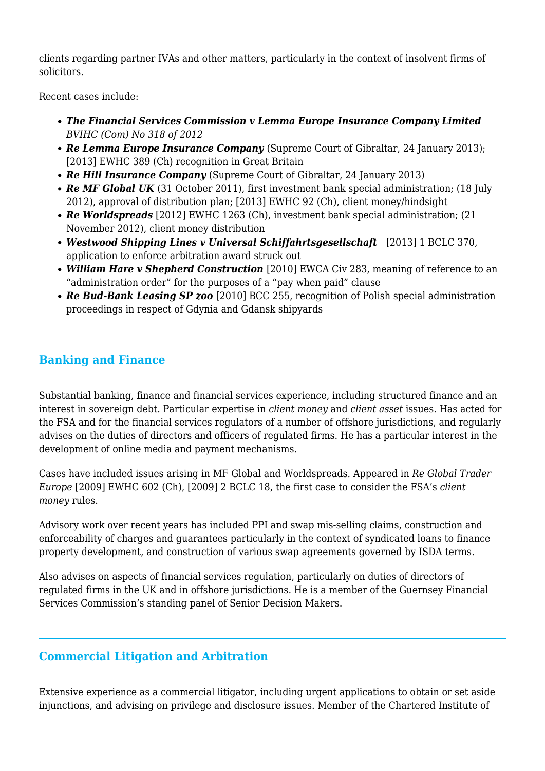clients regarding partner IVAs and other matters, particularly in the context of insolvent firms of solicitors.

Recent cases include:

- *The Financial Services Commission v Lemma Europe Insurance Company Limited BVIHC (Com) No 318 of 2012*
- **Re Lemma Europe Insurance Company** (Supreme Court of Gibraltar, 24 January 2013); [2013] EWHC 389 (Ch) recognition in Great Britain
- *Re Hill Insurance Company* (Supreme Court of Gibraltar, 24 January 2013)
- **Re MF Global UK** (31 October 2011), first investment bank special administration; (18 July 2012), approval of distribution plan; [2013] EWHC 92 (Ch), client money/hindsight
- *Re Worldspreads* [2012] EWHC 1263 (Ch), investment bank special administration; (21 November 2012), client money distribution
- *Westwood Shipping Lines v Universal Schiffahrtsgesellschaft* [2013] 1 BCLC 370, application to enforce arbitration award struck out
- *William Hare v Shepherd Construction* [2010] EWCA Civ 283, meaning of reference to an "administration order" for the purposes of a "pay when paid" clause
- *Re Bud-Bank Leasing SP zoo* [2010] BCC 255, recognition of Polish special administration proceedings in respect of Gdynia and Gdansk shipyards

## **Banking and Finance**

Substantial banking, finance and financial services experience, including structured finance and an interest in sovereign debt. Particular expertise in *client money* and *client asset* issues. Has acted for the FSA and for the financial services regulators of a number of offshore jurisdictions, and regularly advises on the duties of directors and officers of regulated firms. He has a particular interest in the development of online media and payment mechanisms.

Cases have included issues arising in MF Global and Worldspreads*.* Appeared in *Re Global Trader Europe* [2009] EWHC 602 (Ch), [2009] 2 BCLC 18, the first case to consider the FSA's *client money* rules.

Advisory work over recent years has included PPI and swap mis-selling claims, construction and enforceability of charges and guarantees particularly in the context of syndicated loans to finance property development, and construction of various swap agreements governed by ISDA terms.

Also advises on aspects of financial services regulation, particularly on duties of directors of regulated firms in the UK and in offshore jurisdictions. He is a member of the Guernsey Financial Services Commission's standing panel of Senior Decision Makers.

# **Commercial Litigation and Arbitration**

Extensive experience as a commercial litigator, including urgent applications to obtain or set aside injunctions, and advising on privilege and disclosure issues. Member of the Chartered Institute of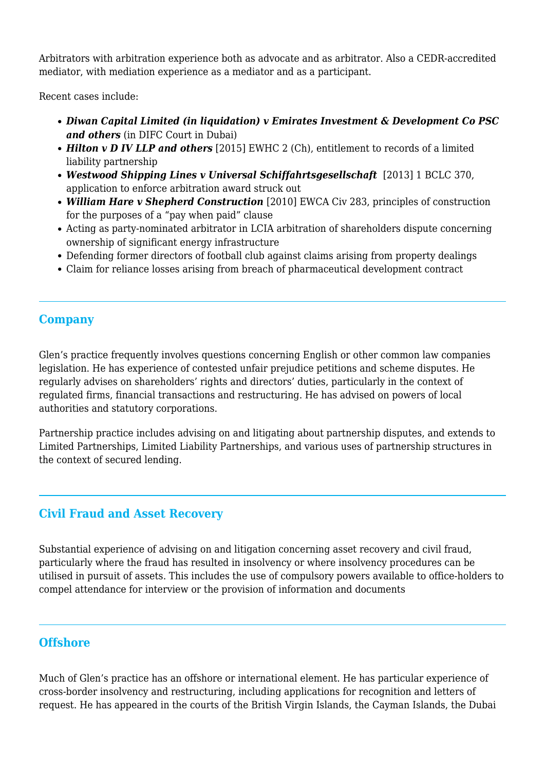Arbitrators with arbitration experience both as advocate and as arbitrator. Also a CEDR-accredited mediator, with mediation experience as a mediator and as a participant.

Recent cases include:

- *Diwan Capital Limited (in liquidation) v Emirates Investment & Development Co PSC and others* (in DIFC Court in Dubai)
- *Hilton v D IV LLP and others* [2015] EWHC 2 (Ch), entitlement to records of a limited liability partnership
- *Westwood Shipping Lines v Universal Schiffahrtsgesellschaft* [2013] 1 BCLC 370, application to enforce arbitration award struck out
- *William Hare v Shepherd Construction* [2010] EWCA Civ 283, principles of construction for the purposes of a "pay when paid" clause
- Acting as party-nominated arbitrator in LCIA arbitration of shareholders dispute concerning ownership of significant energy infrastructure
- Defending former directors of football club against claims arising from property dealings
- Claim for reliance losses arising from breach of pharmaceutical development contract

## **Company**

Glen's practice frequently involves questions concerning English or other common law companies legislation. He has experience of contested unfair prejudice petitions and scheme disputes. He regularly advises on shareholders' rights and directors' duties, particularly in the context of regulated firms, financial transactions and restructuring. He has advised on powers of local authorities and statutory corporations.

Partnership practice includes advising on and litigating about partnership disputes, and extends to Limited Partnerships, Limited Liability Partnerships, and various uses of partnership structures in the context of secured lending.

## **Civil Fraud and Asset Recovery**

Substantial experience of advising on and litigation concerning asset recovery and civil fraud, particularly where the fraud has resulted in insolvency or where insolvency procedures can be utilised in pursuit of assets. This includes the use of compulsory powers available to office-holders to compel attendance for interview or the provision of information and documents

### **Offshore**

Much of Glen's practice has an offshore or international element. He has particular experience of cross-border insolvency and restructuring, including applications for recognition and letters of request. He has appeared in the courts of the British Virgin Islands, the Cayman Islands, the Dubai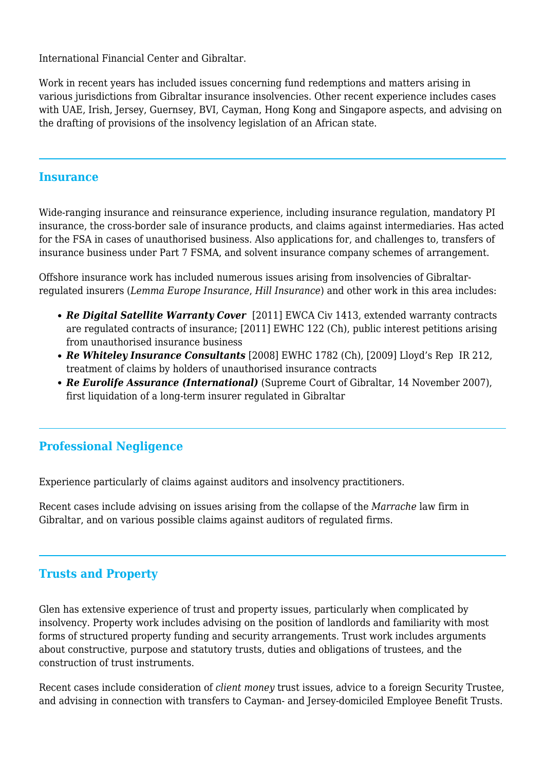International Financial Center and Gibraltar.

Work in recent years has included issues concerning fund redemptions and matters arising in various jurisdictions from Gibraltar insurance insolvencies. Other recent experience includes cases with UAE, Irish, Jersey, Guernsey, BVI, Cayman, Hong Kong and Singapore aspects, and advising on the drafting of provisions of the insolvency legislation of an African state.

#### **Insurance**

Wide-ranging insurance and reinsurance experience, including insurance regulation, mandatory PI insurance, the cross-border sale of insurance products, and claims against intermediaries. Has acted for the FSA in cases of unauthorised business. Also applications for, and challenges to, transfers of insurance business under Part 7 FSMA, and solvent insurance company schemes of arrangement.

Offshore insurance work has included numerous issues arising from insolvencies of Gibraltarregulated insurers (*Lemma Europe Insurance*, *Hill Insurance*) and other work in this area includes:

- *Re Digital Satellite Warranty Cover* [2011] EWCA Civ 1413, extended warranty contracts are regulated contracts of insurance; [2011] EWHC 122 (Ch), public interest petitions arising from unauthorised insurance business
- *Re Whiteley Insurance Consultants* [2008] EWHC 1782 (Ch), [2009] Lloyd's Rep IR 212, treatment of claims by holders of unauthorised insurance contracts
- *Re Eurolife Assurance (International)* (Supreme Court of Gibraltar, 14 November 2007), first liquidation of a long-term insurer regulated in Gibraltar

### **Professional Negligence**

Experience particularly of claims against auditors and insolvency practitioners.

Recent cases include advising on issues arising from the collapse of the *Marrache* law firm in Gibraltar, and on various possible claims against auditors of regulated firms.

### **Trusts and Property**

Glen has extensive experience of trust and property issues, particularly when complicated by insolvency. Property work includes advising on the position of landlords and familiarity with most forms of structured property funding and security arrangements. Trust work includes arguments about constructive, purpose and statutory trusts, duties and obligations of trustees, and the construction of trust instruments.

Recent cases include consideration of *client money* trust issues, advice to a foreign Security Trustee, and advising in connection with transfers to Cayman- and Jersey-domiciled Employee Benefit Trusts.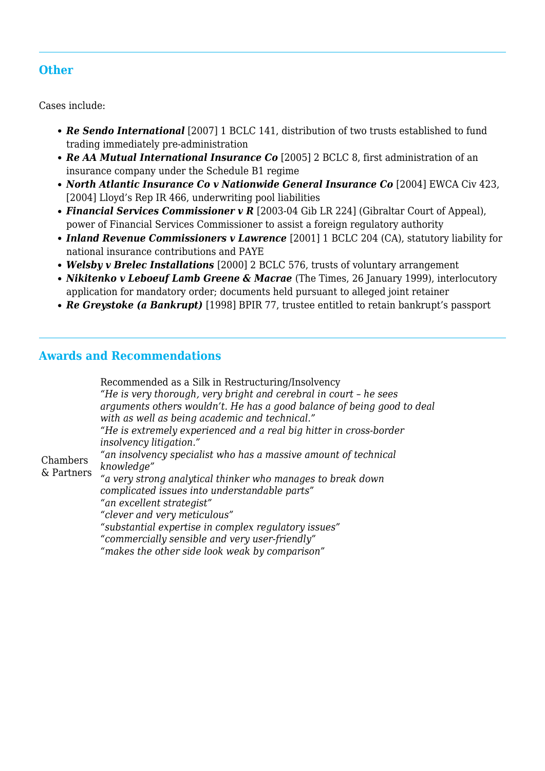## **Other**

Cases include:

- *Re Sendo International* [2007] 1 BCLC 141, distribution of two trusts established to fund trading immediately pre-administration
- *Re AA Mutual International Insurance Co* [2005] 2 BCLC 8, first administration of an insurance company under the Schedule B1 regime
- North Atlantic Insurance Co v Nationwide General Insurance Co [2004] EWCA Civ 423, [2004] Lloyd's Rep IR 466, underwriting pool liabilities
- *Financial Services Commissioner v R* [2003-04 Gib LR 224] (Gibraltar Court of Appeal), power of Financial Services Commissioner to assist a foreign regulatory authority
- *Inland Revenue Commissioners v Lawrence* [2001] 1 BCLC 204 (CA), statutory liability for national insurance contributions and PAYE
- *Welsby v Brelec Installations* [2000] 2 BCLC 576, trusts of voluntary arrangement
- *Nikitenko v Leboeuf Lamb Greene & Macrae* (The Times, 26 January 1999), interlocutory application for mandatory order; documents held pursuant to alleged joint retainer
- *Re Greystoke (a Bankrupt)* [1998] BPIR 77, trustee entitled to retain bankrupt's passport

### **Awards and Recommendations**

Chambers & Partners Recommended as a Silk in Restructuring/Insolvency *"He is very thorough, very bright and cerebral in court – he sees arguments others wouldn't. He has a good balance of being good to deal with as well as being academic and technical." "He is extremely experienced and a real big hitter in cross-border insolvency litigation." "an insolvency specialist who has a massive amount of technical knowledge" "a very strong analytical thinker who manages to break down complicated issues into understandable parts" "an excellent strategist" "clever and very meticulous" "substantial expertise in complex regulatory issues" "commercially sensible and very user-friendly" "makes the other side look weak by comparison"*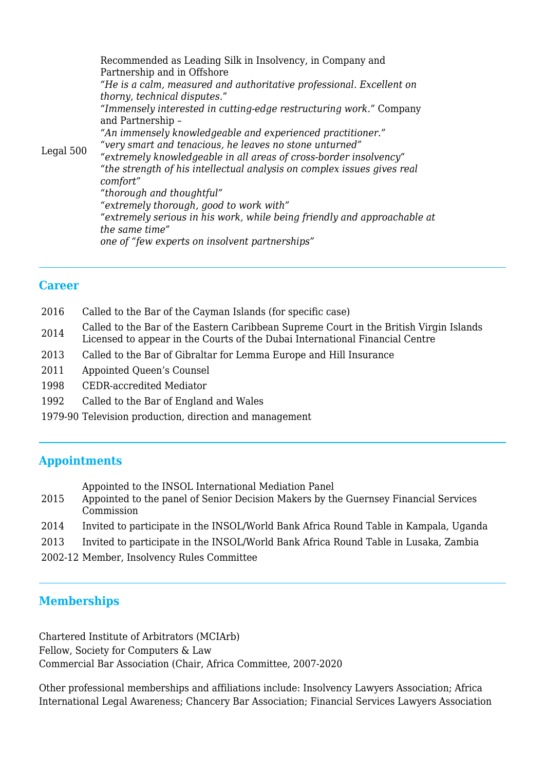Legal 500 Recommended as Leading Silk in Insolvency, in Company and Partnership and in Offshore *"He is a calm, measured and authoritative professional. Excellent on thorny, technical disputes.*" *"Immensely interested in cutting-edge restructuring work."* Company and Partnership – *"An immensely knowledgeable and experienced practitioner." "very smart and tenacious, he leaves no stone unturned" "extremely knowledgeable in all areas of cross-border insolvency" "the strength of his intellectual analysis on complex issues gives real comfort" "thorough and thoughtful" "extremely thorough, good to work with" "extremely serious in his work, while being friendly and approachable at the same time" one of "few experts on insolvent partnerships"*

#### **Career**

- 2016 Called to the Bar of the Cayman Islands (for specific case)
- <sup>2014</sup> Called to the Bar of the Eastern Caribbean Supreme Court in the British Virgin Islands Licensed to appear in the Courts of the Dubai International Financial Centre
- 2013 Called to the Bar of Gibraltar for Lemma Europe and Hill Insurance
- 2011 Appointed Queen's Counsel
- 1998 CEDR-accredited Mediator
- 1992 Called to the Bar of England and Wales
- 1979-90 Television production, direction and management

#### **Appointments**

Appointed to the INSOL International Mediation Panel

- 2015 Appointed to the panel of Senior Decision Makers by the Guernsey Financial Services Commission
- 2014 Invited to participate in the INSOL/World Bank Africa Round Table in Kampala, Uganda
- 2013 Invited to participate in the INSOL/World Bank Africa Round Table in Lusaka, Zambia
- 2002-12 Member, Insolvency Rules Committee

#### **Memberships**

Chartered Institute of Arbitrators (MCIArb) Fellow, Society for Computers & Law Commercial Bar Association (Chair, Africa Committee, 2007-2020

Other professional memberships and affiliations include: Insolvency Lawyers Association; Africa International Legal Awareness; Chancery Bar Association; Financial Services Lawyers Association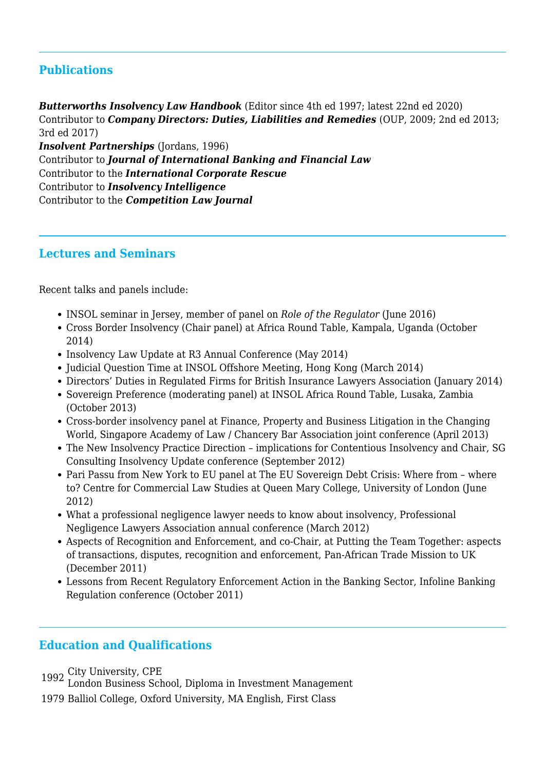## **Publications**

*Butterworths Insolvency Law Handbook* (Editor since 4th ed 1997; latest 22nd ed 2020) Contributor to *Company Directors: Duties, Liabilities and Remedies* (OUP, 2009; 2nd ed 2013; 3rd ed 2017)

*Insolvent Partnerships* (Jordans, 1996) Contributor to *Journal of International Banking and Financial Law* Contributor to the *International Corporate Rescue* Contributor to *Insolvency Intelligence* Contributor to the *Competition Law Journal* 

#### **Lectures and Seminars**

Recent talks and panels include:

- INSOL seminar in Jersey, member of panel on *Role of the Regulator* (June 2016)
- Cross Border Insolvency (Chair panel) at Africa Round Table, Kampala, Uganda (October 2014)
- Insolvency Law Update at R3 Annual Conference (May 2014)
- Judicial Question Time at INSOL Offshore Meeting, Hong Kong (March 2014)
- Directors' Duties in Regulated Firms for British Insurance Lawyers Association (January 2014)
- Sovereign Preference (moderating panel) at INSOL Africa Round Table, Lusaka, Zambia (October 2013)
- Cross-border insolvency panel at Finance, Property and Business Litigation in the Changing World, Singapore Academy of Law / Chancery Bar Association joint conference (April 2013)
- The New Insolvency Practice Direction implications for Contentious Insolvency and Chair, SG Consulting Insolvency Update conference (September 2012)
- Pari Passu from New York to EU panel at The EU Sovereign Debt Crisis: Where from where to? Centre for Commercial Law Studies at Queen Mary College, University of London (June 2012)
- What a professional negligence lawyer needs to know about insolvency, Professional Negligence Lawyers Association annual conference (March 2012)
- Aspects of Recognition and Enforcement, and co-Chair, at Putting the Team Together: aspects of transactions, disputes, recognition and enforcement, Pan-African Trade Mission to UK (December 2011)
- Lessons from Recent Regulatory Enforcement Action in the Banking Sector, Infoline Banking Regulation conference (October 2011)

### **Education and Qualifications**

- <sup>1992</sup> City University, CPE London Business School, Diploma in Investment Management
- 1979 Balliol College, Oxford University, MA English, First Class